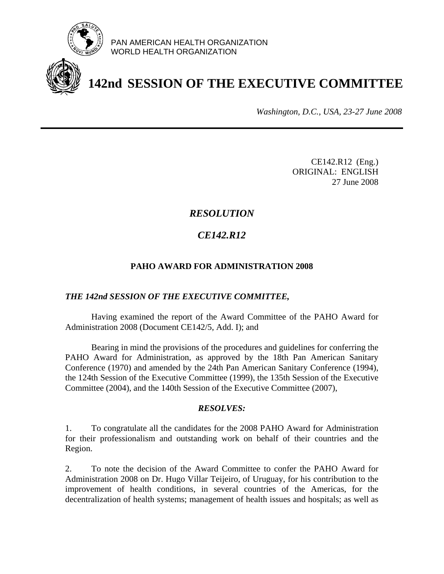

PAN AMERICAN HEALTH ORGANIZATION WORLD HEALTH ORGANIZATION

# **142nd SESSION OF THE EXECUTIVE COMMITTEE**

*Washington, D.C., USA, 23-27 June 2008*

CE142.R12 (Eng.) ORIGINAL: ENGLISH 27 June 2008

# *RESOLUTION*

# *CE142.R12*

## **PAHO AWARD FOR ADMINISTRATION 2008**

### *THE 142nd SESSION OF THE EXECUTIVE COMMITTEE,*

 Having examined the report of the Award Committee of the PAHO Award for Administration 2008 (Document CE142/5, Add. I); and

 Bearing in mind the provisions of the procedures and guidelines for conferring the PAHO Award for Administration, as approved by the 18th Pan American Sanitary Conference (1970) and amended by the 24th Pan American Sanitary Conference (1994), the 124th Session of the Executive Committee (1999), the 135th Session of the Executive Committee (2004), and the 140th Session of the Executive Committee (2007),

### *RESOLVES:*

1. To congratulate all the candidates for the 2008 PAHO Award for Administration for their professionalism and outstanding work on behalf of their countries and the Region.

2. To note the decision of the Award Committee to confer the PAHO Award for Administration 2008 on Dr. Hugo Villar Teijeiro, of Uruguay, for his contribution to the improvement of health conditions, in several countries of the Americas, for the decentralization of health systems; management of health issues and hospitals; as well as